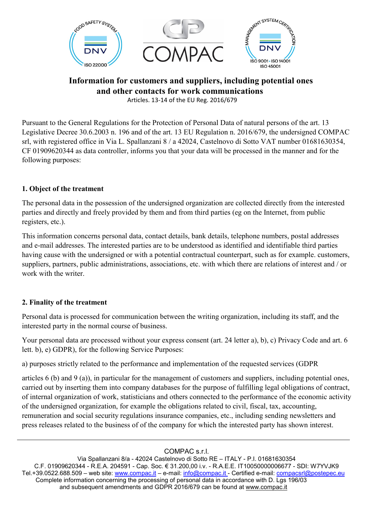

# **Information for customers and suppliers, including potential ones and other contacts for work communications**

Articles. 13-14 of the EU Reg. 2016/679

Pursuant to the General Regulations for the Protection of Personal Data of natural persons of the art. 13 Legislative Decree 30.6.2003 n. 196 and of the art. 13 EU Regulation n. 2016/679, the undersigned COMPAC srl, with registered office in Via L. Spallanzani 8 / a 42024, Castelnovo di Sotto VAT number 01681630354, CF 01909620344 as data controller, informs you that your data will be processed in the manner and for the following purposes:

### **1. Object of the treatment**

The personal data in the possession of the undersigned organization are collected directly from the interested parties and directly and freely provided by them and from third parties (eg on the Internet, from public registers, etc.).

This information concerns personal data, contact details, bank details, telephone numbers, postal addresses and e-mail addresses. The interested parties are to be understood as identified and identifiable third parties having cause with the undersigned or with a potential contractual counterpart, such as for example. customers, suppliers, partners, public administrations, associations, etc. with which there are relations of interest and / or work with the writer.

#### **2. Finality of the treatment**

Personal data is processed for communication between the writing organization, including its staff, and the interested party in the normal course of business.

Your personal data are processed without your express consent (art. 24 letter a), b), c) Privacy Code and art. 6 lett. b), e) GDPR), for the following Service Purposes:

a) purposes strictly related to the performance and implementation of the requested services (GDPR

articles 6 (b) and 9 (a)), in particular for the management of customers and suppliers, including potential ones, carried out by inserting them into company databases for the purpose of fulfilling legal obligations of contract, of internal organization of work, statisticians and others connected to the performance of the economic activity of the undersigned organization, for example the obligations related to civil, fiscal, tax, accounting, remuneration and social security regulations insurance companies, etc., including sending newsletters and press releases related to the business of of the company for which the interested party has shown interest.

#### COMPAC s.r.l.

Via Spallanzani 8/a - 42024 Castelnovo di Sotto RE – ITALY - P.I. 01681630354 C.F. 01909620344 - R.E.A. 204591 - Cap. Soc. € 31.200,00 i.v. - R.A.E.E. IT10050000006677 - SDI: W7YVJK9 Tel.+39.0522.688.509 – web site: [www.compac.it](http://www.compac.it/) – e-mail: [info@compac.it](mailto:info@compac.it) - Certified e-mail: [compacsrl@postepec.eu](mailto:compacsrl@postepec.eu) Complete information concerning the processing of personal data in accordance with D. Lgs 196/03 and subsequent amendments and GDPR 2016/679 can be found at [www.compac.it](http://www.compac.it/)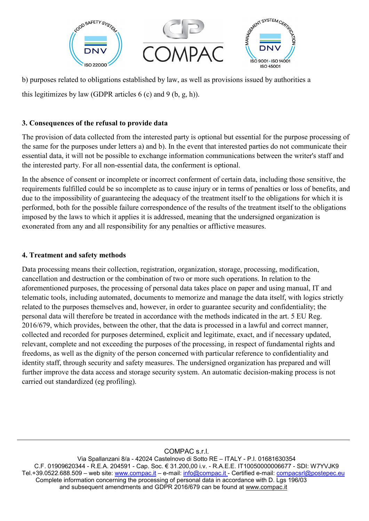

b) purposes related to obligations established by law, as well as provisions issued by authorities a this legitimizes by law (GDPR articles  $6$  (c) and  $9$  (b, g, h)).

## **3. Consequences of the refusal to provide data**

The provision of data collected from the interested party is optional but essential for the purpose processing of the same for the purposes under letters a) and b). In the event that interested parties do not communicate their essential data, it will not be possible to exchange information communications between the writer's staff and the interested party. For all non-essential data, the conferment is optional.

In the absence of consent or incomplete or incorrect conferment of certain data, including those sensitive, the requirements fulfilled could be so incomplete as to cause injury or in terms of penalties or loss of benefits, and due to the impossibility of guaranteeing the adequacy of the treatment itself to the obligations for which it is performed, both for the possible failure correspondence of the results of the treatment itself to the obligations imposed by the laws to which it applies it is addressed, meaning that the undersigned organization is exonerated from any and all responsibility for any penalties or afflictive measures.

### **4. Treatment and safety methods**

Data processing means their collection, registration, organization, storage, processing, modification, cancellation and destruction or the combination of two or more such operations. In relation to the aforementioned purposes, the processing of personal data takes place on paper and using manual, IT and telematic tools, including automated, documents to memorize and manage the data itself, with logics strictly related to the purposes themselves and, however, in order to guarantee security and confidentiality; the personal data will therefore be treated in accordance with the methods indicated in the art. 5 EU Reg. 2016/679, which provides, between the other, that the data is processed in a lawful and correct manner, collected and recorded for purposes determined, explicit and legitimate, exact, and if necessary updated, relevant, complete and not exceeding the purposes of the processing, in respect of fundamental rights and freedoms, as well as the dignity of the person concerned with particular reference to confidentiality and identity staff, through security and safety measures. The undersigned organization has prepared and will further improve the data access and storage security system. An automatic decision-making process is not carried out standardized (eg profiling).

#### COMPAC s.r.l.

Via Spallanzani 8/a - 42024 Castelnovo di Sotto RE – ITALY - P.I. 01681630354 C.F. 01909620344 - R.E.A. 204591 - Cap. Soc. € 31.200,00 i.v. - R.A.E.E. IT10050000006677 - SDI: W7YVJK9 Tel.+39.0522.688.509 – web site: [www.compac.it](http://www.compac.it/) – e-mail: [info@compac.it](mailto:info@compac.it) - Certified e-mail: [compacsrl@postepec.eu](mailto:compacsrl@postepec.eu) Complete information concerning the processing of personal data in accordance with D. Lgs 196/03 and subsequent amendments and GDPR 2016/679 can be found at [www.compac.it](http://www.compac.it/)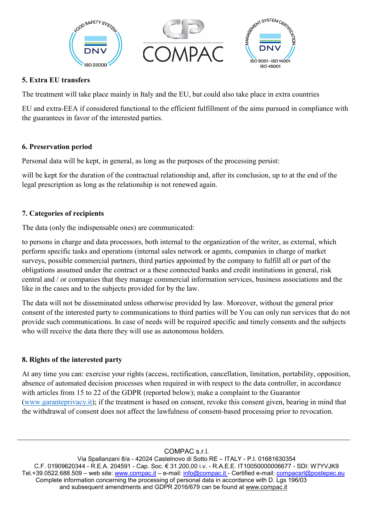

## **5. Extra EU transfers**

The treatment will take place mainly in Italy and the EU, but could also take place in extra countries

EU and extra-EEA if considered functional to the efficient fulfillment of the aims pursued in compliance with the guarantees in favor of the interested parties.

## **6. Preservation period**

Personal data will be kept, in general, as long as the purposes of the processing persist:

will be kept for the duration of the contractual relationship and, after its conclusion, up to at the end of the legal prescription as long as the relationship is not renewed again.

## **7. Categories of recipients**

The data (only the indispensable ones) are communicated:

to persons in charge and data processors, both internal to the organization of the writer, as external, which perform specific tasks and operations (internal sales network or agents, companies in charge of market surveys, possible commercial partners, third parties appointed by the company to fulfill all or part of the obligations assumed under the contract or a these connected banks and credit institutions in general, risk central and / or companies that they manage commercial information services, business associations and the like in the cases and to the subjects provided for by the law.

The data will not be disseminated unless otherwise provided by law. Moreover, without the general prior consent of the interested party to communications to third parties will be You can only run services that do not provide such communications. In case of needs will be required specific and timely consents and the subjects who will receive the data there they will use as autonomous holders.

## **8. Rights of the interested party**

At any time you can: exercise your rights (access, rectification, cancellation, limitation, portability, opposition, absence of automated decision processes when required in with respect to the data controller, in accordance with articles from 15 to 22 of the GDPR (reported below); make a complaint to the Guarantor [\(www.garanteprivacy.it\)](http://www.garanteprivacy.it/); if the treatment is based on consent, revoke this consent given, bearing in mind that the withdrawal of consent does not affect the lawfulness of consent-based processing prior to revocation.

COMPAC s.r.l.

Via Spallanzani 8/a - 42024 Castelnovo di Sotto RE – ITALY - P.I. 01681630354 C.F. 01909620344 - R.E.A. 204591 - Cap. Soc. € 31.200,00 i.v. - R.A.E.E. IT10050000006677 - SDI: W7YVJK9 Tel.+39.0522.688.509 – web site: [www.compac.it](http://www.compac.it/) – e-mail: [info@compac.it](mailto:info@compac.it) - Certified e-mail: [compacsrl@postepec.eu](mailto:compacsrl@postepec.eu) Complete information concerning the processing of personal data in accordance with D. Lgs 196/03 and subsequent amendments and GDPR 2016/679 can be found at [www.compac.it](http://www.compac.it/)